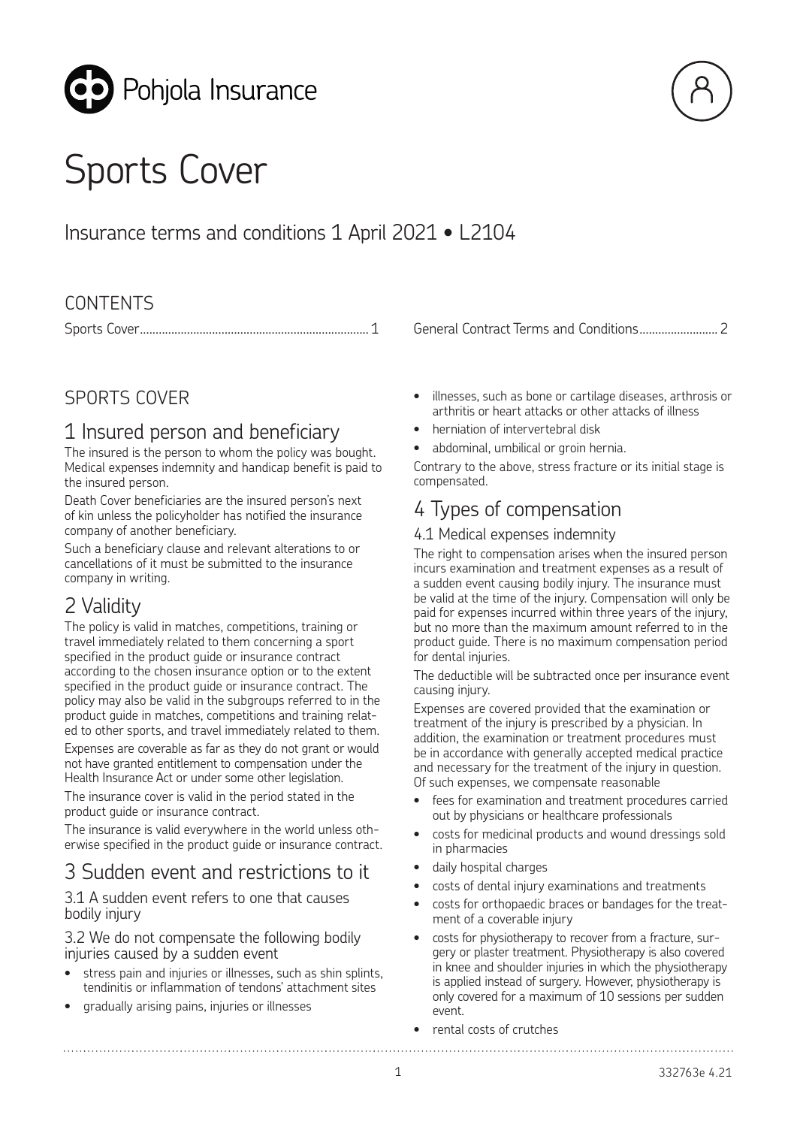



# Insurance terms and conditions 1 April 2021 • L2104

### **CONTENTS**

### SPORTS COVER

# 1 Insured person and beneficiary

The insured is the person to whom the policy was bought. Medical expenses indemnity and handicap benefit is paid to the insured person.

Death Cover beneficiaries are the insured person's next of kin unless the policyholder has notified the insurance company of another beneficiary.

Such a beneficiary clause and relevant alterations to or cancellations of it must be submitted to the insurance company in writing.

# 2 Validity

The policy is valid in matches, competitions, training or travel immediately related to them concerning a sport specified in the product guide or insurance contract according to the chosen insurance option or to the extent specified in the product quide or insurance contract. The policy may also be valid in the subgroups referred to in the product guide in matches, competitions and training related to other sports, and travel immediately related to them.

Expenses are coverable as far as they do not grant or would not have granted entitlement to compensation under the Health Insurance Act or under some other legislation.

The insurance cover is valid in the period stated in the product guide or insurance contract.

The insurance is valid everywhere in the world unless otherwise specified in the product guide or insurance contract.

# 3 Sudden event and restrictions to it

3.1 A sudden event refers to one that causes bodily injury

3.2 We do not compensate the following bodily injuries caused by a sudden event

- stress pain and injuries or illnesses, such as shin splints, tendinitis or inflammation of tendons' attachment sites
- gradually arising pains, injuries or illnesses

- Sports Cove[r.........................................................................](#page-1-0) 1 General Contract Terms and Conditions......................... 2
	- illnesses, such as bone or cartilage diseases, arthrosis or arthritis or heart attacks or other attacks of illness
	- herniation of intervertebral disk
	- abdominal, umbilical or groin hernia.

Contrary to the above, stress fracture or its initial stage is compensated.

# 4 Types of compensation

### 4.1 Medical expenses indemnity

The right to compensation arises when the insured person incurs examination and treatment expenses as a result of a sudden event causing bodily injury. The insurance must be valid at the time of the injury. Compensation will only be paid for expenses incurred within three years of the injury, but no more than the maximum amount referred to in the product guide. There is no maximum compensation period for dental injuries.

The deductible will be subtracted once per insurance event causing injury.

Expenses are covered provided that the examination or treatment of the injury is prescribed by a physician. In addition, the examination or treatment procedures must be in accordance with generally accepted medical practice and necessary for the treatment of the injury in question. Of such expenses, we compensate reasonable

- fees for examination and treatment procedures carried out by physicians or healthcare professionals
- costs for medicinal products and wound dressings sold in pharmacies
- daily hospital charges
- costs of dental injury examinations and treatments
- costs for orthopaedic braces or bandages for the treatment of a coverable injury
- costs for physiotherapy to recover from a fracture, surgery or plaster treatment. Physiotherapy is also covered in knee and shoulder injuries in which the physiotherapy is applied instead of surgery. However, physiotherapy is only covered for a maximum of 10 sessions per sudden event.

• rental costs of crutches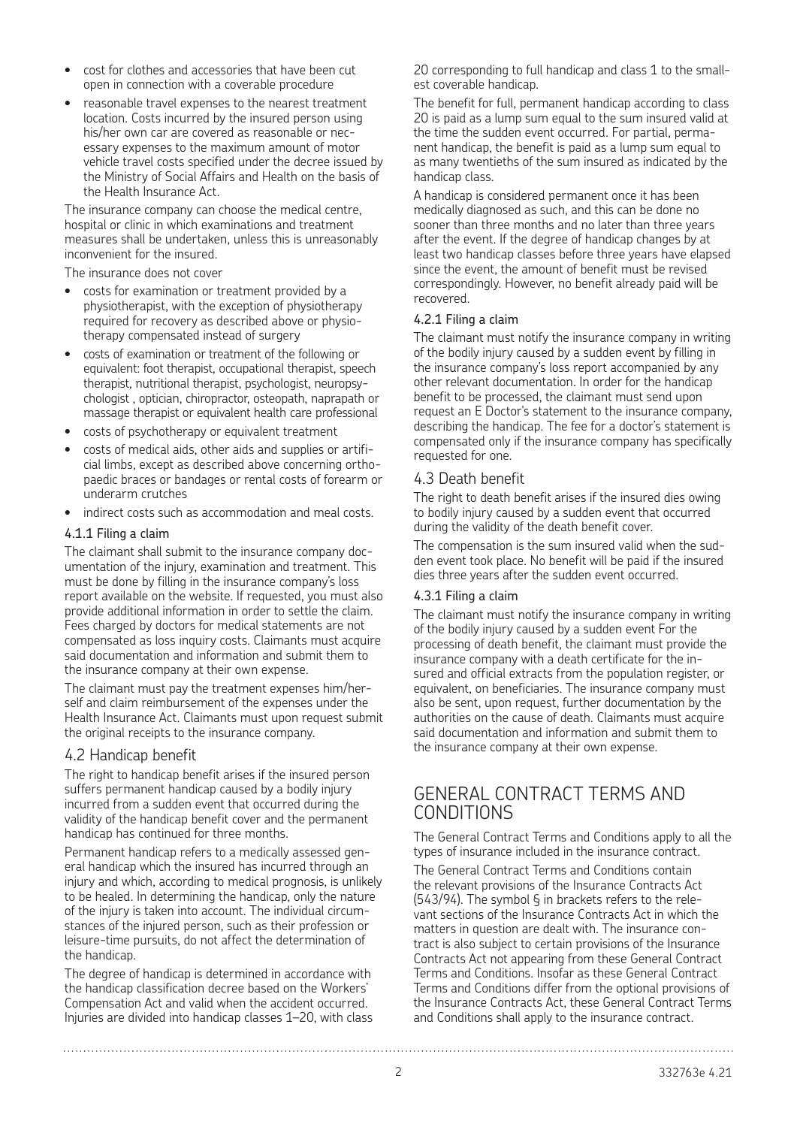- <span id="page-1-0"></span>• cost for clothes and accessories that have been cut open in connection with a coverable procedure
- reasonable travel expenses to the nearest treatment location. Costs incurred by the insured person using his/her own car are covered as reasonable or necessary expenses to the maximum amount of motor vehicle travel costs specified under the decree issued by the Ministry of Social Affairs and Health on the basis of the Health Insurance Act.

The insurance company can choose the medical centre, hospital or clinic in which examinations and treatment measures shall be undertaken, unless this is unreasonably inconvenient for the insured.

The insurance does not cover

- costs for examination or treatment provided by a physiotherapist, with the exception of physiotherapy required for recovery as described above or physiotherapy compensated instead of surgery
- costs of examination or treatment of the following or equivalent: foot therapist, occupational therapist, speech therapist, nutritional therapist, psychologist, neuropsychologist , optician, chiropractor, osteopath, naprapath or massage therapist or equivalent health care professional
- costs of psychotherapy or equivalent treatment
- costs of medical aids, other aids and supplies or artificial limbs, except as described above concerning orthopaedic braces or bandages or rental costs of forearm or underarm crutches
- indirect costs such as accommodation and meal costs.

#### 4.1.1 Filing a claim

The claimant shall submit to the insurance company documentation of the injury, examination and treatment. This must be done by filling in the insurance company's loss report available on the website. If requested, you must also provide additional information in order to settle the claim. Fees charged by doctors for medical statements are not compensated as loss inquiry costs. Claimants must acquire said documentation and information and submit them to the insurance company at their own expense.

The claimant must pay the treatment expenses him/herself and claim reimbursement of the expenses under the Health Insurance Act. Claimants must upon request submit the original receipts to the insurance company.

#### 4.2 Handicap benefit

The right to handicap benefit arises if the insured person suffers permanent handicap caused by a bodily injury incurred from a sudden event that occurred during the validity of the handicap benefit cover and the permanent handicap has continued for three months.

Permanent handicap refers to a medically assessed general handicap which the insured has incurred through an injury and which, according to medical prognosis, is unlikely to be healed. In determining the handicap, only the nature of the injury is taken into account. The individual circumstances of the injured person, such as their profession or leisure-time pursuits, do not affect the determination of the handicap.

The degree of handicap is determined in accordance with the handicap classification decree based on the Workers' Compensation Act and valid when the accident occurred. Injuries are divided into handicap classes 1–20, with class

20 corresponding to full handicap and class 1 to the smallest coverable handicap.

The benefit for full, permanent handicap according to class 20 is paid as a lump sum equal to the sum insured valid at the time the sudden event occurred. For partial, permanent handicap, the benefit is paid as a lump sum equal to as many twentieths of the sum insured as indicated by the handicap class.

A handicap is considered permanent once it has been medically diagnosed as such, and this can be done no sooner than three months and no later than three years after the event. If the degree of handicap changes by at least two handicap classes before three years have elapsed since the event, the amount of benefit must be revised correspondingly. However, no benefit already paid will be recovered.

#### 4.2.1 Filing a claim

The claimant must notify the insurance company in writing of the bodily injury caused by a sudden event by filling in the insurance company's loss report accompanied by any other relevant documentation. In order for the handicap benefit to be processed, the claimant must send upon request an E Doctor's statement to the insurance company, describing the handicap. The fee for a doctor's statement is compensated only if the insurance company has specifically requested for one.

### 4.3 Death benefit

The right to death benefit arises if the insured dies owing to bodily injury caused by a sudden event that occurred during the validity of the death benefit cover.

The compensation is the sum insured valid when the sudden event took place. No benefit will be paid if the insured dies three years after the sudden event occurred.

#### 4.3.1 Filing a claim

The claimant must notify the insurance company in writing of the bodily injury caused by a sudden event For the processing of death benefit, the claimant must provide the insurance company with a death certificate for the insured and official extracts from the population register, or equivalent, on beneficiaries. The insurance company must also be sent, upon request, further documentation by the authorities on the cause of death. Claimants must acquire said documentation and information and submit them to the insurance company at their own expense.

### GENERAL CONTRACT TERMS AND CONDITIONS

The General Contract Terms and Conditions apply to all the types of insurance included in the insurance contract.

The General Contract Terms and Conditions contain the relevant provisions of the Insurance Contracts Act (543/94). The symbol § in brackets refers to the relevant sections of the Insurance Contracts Act in which the matters in question are dealt with. The insurance contract is also subject to certain provisions of the Insurance Contracts Act not appearing from these General Contract Terms and Conditions. Insofar as these General Contract Terms and Conditions differ from the optional provisions of the Insurance Contracts Act, these General Contract Terms and Conditions shall apply to the insurance contract.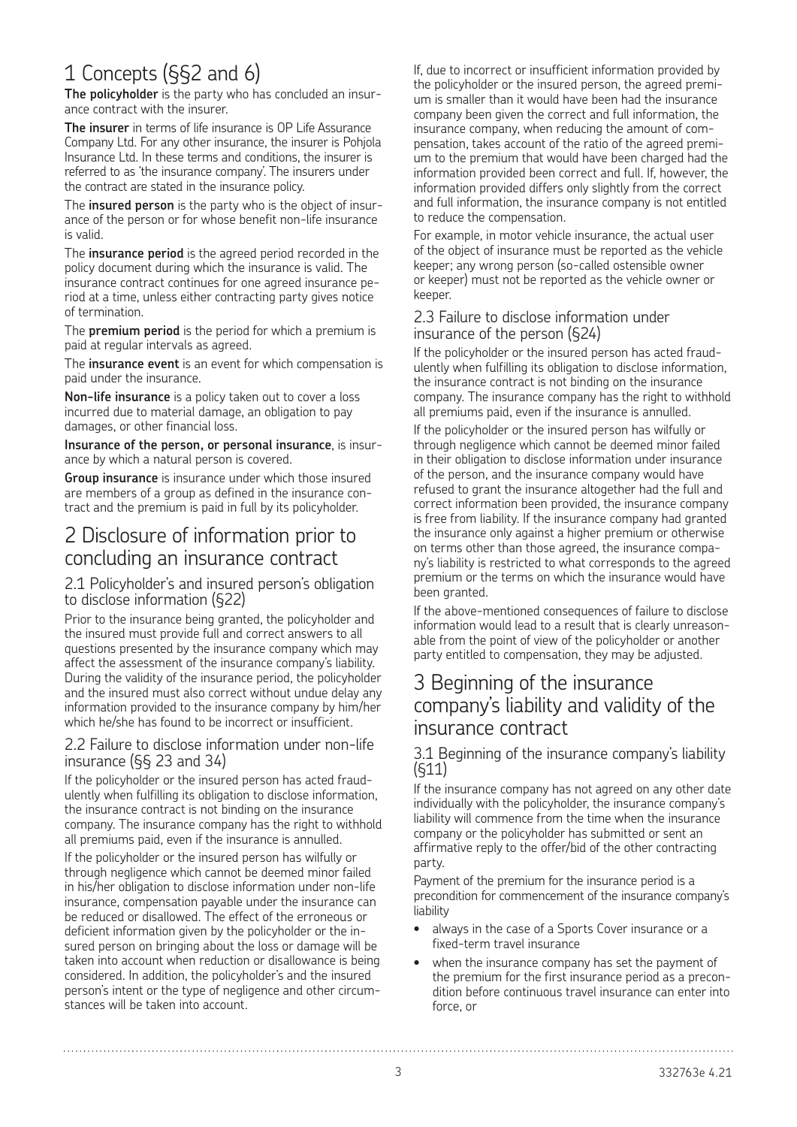# 1 Concepts (§§2 and 6)

**The policyholder** is the party who has concluded an insurance contract with the insurer.

**The insurer** in terms of life insurance is OP Life Assurance Company Ltd. For any other insurance, the insurer is Pohjola Insurance Ltd. In these terms and conditions, the insurer is referred to as 'the insurance company'. The insurers under the contract are stated in the insurance policy.

The **insured person** is the party who is the object of insurance of the person or for whose benefit non-life insurance is valid.

The **insurance period** is the agreed period recorded in the policy document during which the insurance is valid. The insurance contract continues for one agreed insurance period at a time, unless either contracting party gives notice of termination.

The **premium period** is the period for which a premium is paid at regular intervals as agreed.

The **insurance event** is an event for which compensation is paid under the insurance.

**Non-life insurance** is a policy taken out to cover a loss incurred due to material damage, an obligation to pay damages, or other financial loss.

**Insurance of the person, or personal insurance**, is insurance by which a natural person is covered.

**Group insurance** is insurance under which those insured are members of a group as defined in the insurance contract and the premium is paid in full by its policyholder.

### 2 Disclosure of information prior to concluding an insurance contract

#### 2.1 Policyholder's and insured person's obligation to disclose information (§22)

Prior to the insurance being granted, the policyholder and the insured must provide full and correct answers to all questions presented by the insurance company which may affect the assessment of the insurance company's liability. During the validity of the insurance period, the policyholder and the insured must also correct without undue delay any information provided to the insurance company by him/her which he/she has found to be incorrect or insufficient.

#### 2.2 Failure to disclose information under non-life insurance (§§ 23 and 34)

If the policyholder or the insured person has acted fraudulently when fulfilling its obligation to disclose information, the insurance contract is not binding on the insurance company. The insurance company has the right to withhold all premiums paid, even if the insurance is annulled.

If the policyholder or the insured person has wilfully or through negligence which cannot be deemed minor failed in his/her obligation to disclose information under non-life insurance, compensation payable under the insurance can be reduced or disallowed. The effect of the erroneous or deficient information given by the policyholder or the insured person on bringing about the loss or damage will be taken into account when reduction or disallowance is being considered. In addition, the policyholder's and the insured person's intent or the type of negligence and other circumstances will be taken into account.

If, due to incorrect or insufficient information provided by the policyholder or the insured person, the agreed premium is smaller than it would have been had the insurance company been given the correct and full information, the insurance company, when reducing the amount of compensation, takes account of the ratio of the agreed premium to the premium that would have been charged had the information provided been correct and full. If, however, the information provided differs only slightly from the correct and full information, the insurance company is not entitled to reduce the compensation.

For example, in motor vehicle insurance, the actual user of the object of insurance must be reported as the vehicle keeper; any wrong person (so-called ostensible owner or keeper) must not be reported as the vehicle owner or keeper.

#### 2.3 Failure to disclose information under insurance of the person (§24)

If the policyholder or the insured person has acted fraudulently when fulfilling its obligation to disclose information, the insurance contract is not binding on the insurance company. The insurance company has the right to withhold all premiums paid, even if the insurance is annulled.

If the policyholder or the insured person has wilfully or through negligence which cannot be deemed minor failed in their obligation to disclose information under insurance of the person, and the insurance company would have refused to grant the insurance altogether had the full and correct information been provided, the insurance company is free from liability. If the insurance company had granted the insurance only against a higher premium or otherwise on terms other than those agreed, the insurance company's liability is restricted to what corresponds to the agreed premium or the terms on which the insurance would have been granted.

If the above-mentioned consequences of failure to disclose information would lead to a result that is clearly unreasonable from the point of view of the policyholder or another party entitled to compensation, they may be adjusted.

### 3 Beginning of the insurance company's liability and validity of the insurance contract

#### 3.1 Beginning of the insurance company's liability (§11)

If the insurance company has not agreed on any other date individually with the policyholder, the insurance company's liability will commence from the time when the insurance company or the policyholder has submitted or sent an affirmative reply to the offer/bid of the other contracting party.

Payment of the premium for the insurance period is a precondition for commencement of the insurance company's liability

- always in the case of a Sports Cover insurance or a fixed-term travel insurance
- when the insurance company has set the payment of the premium for the first insurance period as a precondition before continuous travel insurance can enter into force, or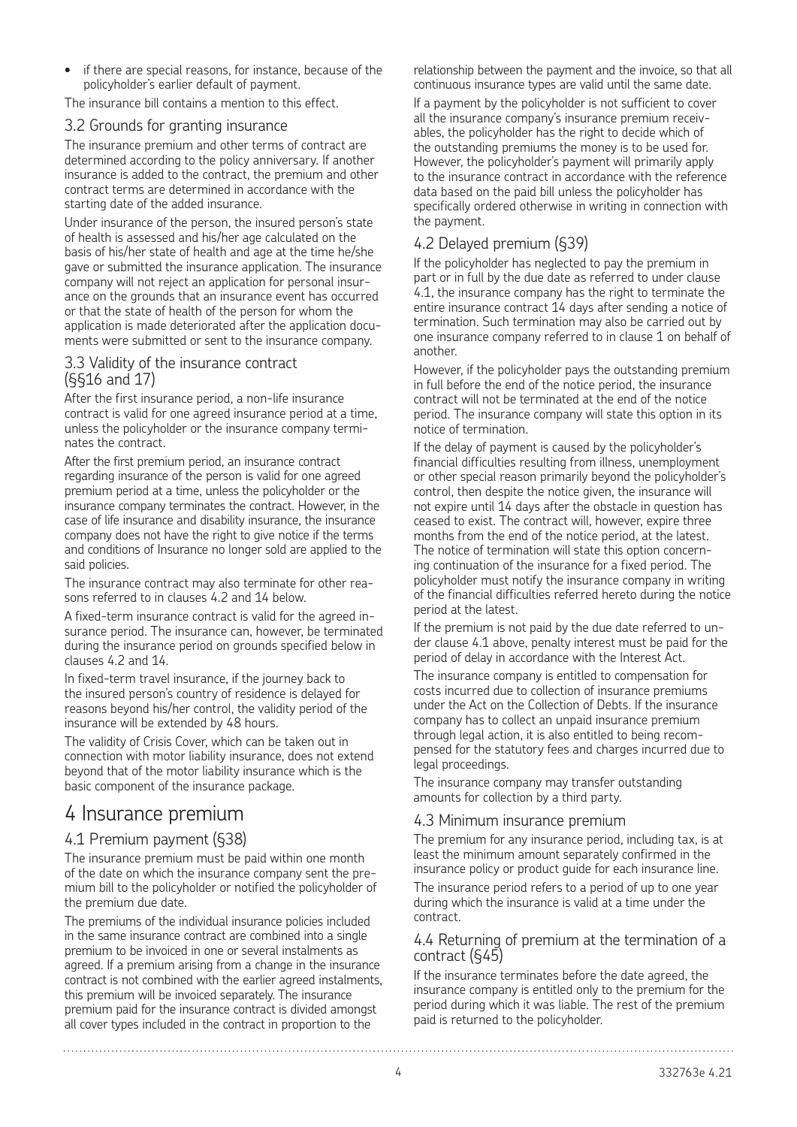• if there are special reasons, for instance, because of the policyholder's earlier default of payment.

The insurance bill contains a mention to this effect.

#### 3.2 Grounds for granting insurance

The insurance premium and other terms of contract are determined according to the policy anniversary. If another insurance is added to the contract, the premium and other contract terms are determined in accordance with the starting date of the added insurance.

Under insurance of the person, the insured person's state of health is assessed and his/her age calculated on the basis of his/her state of health and age at the time he/she gave or submitted the insurance application. The insurance company will not reject an application for personal insurance on the grounds that an insurance event has occurred or that the state of health of the person for whom the application is made deteriorated after the application documents were submitted or sent to the insurance company.

### 3.3 Validity of the insurance contract (§§16 and 17)

After the first insurance period, a non-life insurance contract is valid for one agreed insurance period at a time, unless the policyholder or the insurance company terminates the contract.

After the first premium period, an insurance contract regarding insurance of the person is valid for one agreed premium period at a time, unless the policyholder or the insurance company terminates the contract. However, in the case of life insurance and disability insurance, the insurance company does not have the right to give notice if the terms and conditions of Insurance no longer sold are applied to the said policies.

The insurance contract may also terminate for other reasons referred to in clauses 4.2 and 14 below.

A fixed-term insurance contract is valid for the agreed insurance period. The insurance can, however, be terminated during the insurance period on grounds specified below in clauses 4.2 and 14.

In fixed-term travel insurance, if the journey back to the insured person's country of residence is delayed for reasons beyond his/her control, the validity period of the insurance will be extended by 48 hours.

The validity of Crisis Cover, which can be taken out in connection with motor liability insurance, does not extend beyond that of the motor liability insurance which is the basic component of the insurance package.

### 4 Insurance premium

#### 4.1 Premium payment (§38)

The insurance premium must be paid within one month of the date on which the insurance company sent the premium bill to the policyholder or notified the policyholder of the premium due date.

The premiums of the individual insurance policies included in the same insurance contract are combined into a single premium to be invoiced in one or several instalments as agreed. If a premium arising from a change in the insurance contract is not combined with the earlier agreed instalments, this premium will be invoiced separately. The insurance premium paid for the insurance contract is divided amongst all cover types included in the contract in proportion to the

relationship between the payment and the invoice, so that all continuous insurance types are valid until the same date.

If a payment by the policyholder is not sufficient to cover all the insurance company's insurance premium receivables, the policyholder has the right to decide which of the outstanding premiums the money is to be used for. However, the policyholder's payment will primarily apply to the insurance contract in accordance with the reference data based on the paid bill unless the policyholder has specifically ordered otherwise in writing in connection with the payment.

### 4.2 Delayed premium (§39)

If the policyholder has neglected to pay the premium in part or in full by the due date as referred to under clause 4.1, the insurance company has the right to terminate the entire insurance contract 14 days after sending a notice of termination. Such termination may also be carried out by one insurance company referred to in clause 1 on behalf of another

However, if the policyholder pays the outstanding premium in full before the end of the notice period, the insurance contract will not be terminated at the end of the notice period. The insurance company will state this option in its notice of termination.

If the delay of payment is caused by the policyholder's financial difficulties resulting from illness, unemployment or other special reason primarily beyond the policyholder's control, then despite the notice given, the insurance will not expire until 14 days after the obstacle in question has ceased to exist. The contract will, however, expire three months from the end of the notice period, at the latest. The notice of termination will state this option concerning continuation of the insurance for a fixed period. The policyholder must notify the insurance company in writing of the financial difficulties referred hereto during the notice period at the latest.

If the premium is not paid by the due date referred to under clause 4.1 above, penalty interest must be paid for the period of delay in accordance with the Interest Act.

The insurance company is entitled to compensation for costs incurred due to collection of insurance premiums under the Act on the Collection of Debts. If the insurance company has to collect an unpaid insurance premium through legal action, it is also entitled to being recompensed for the statutory fees and charges incurred due to legal proceedings.

The insurance company may transfer outstanding amounts for collection by a third party.

#### 4.3 Minimum insurance premium

The premium for any insurance period, including tax, is at least the minimum amount separately confirmed in the insurance policy or product guide for each insurance line. The insurance period refers to a period of up to one year during which the insurance is valid at a time under the contract.

#### 4.4 Returning of premium at the termination of a contract (§45)

If the insurance terminates before the date agreed, the insurance company is entitled only to the premium for the period during which it was liable. The rest of the premium paid is returned to the policyholder.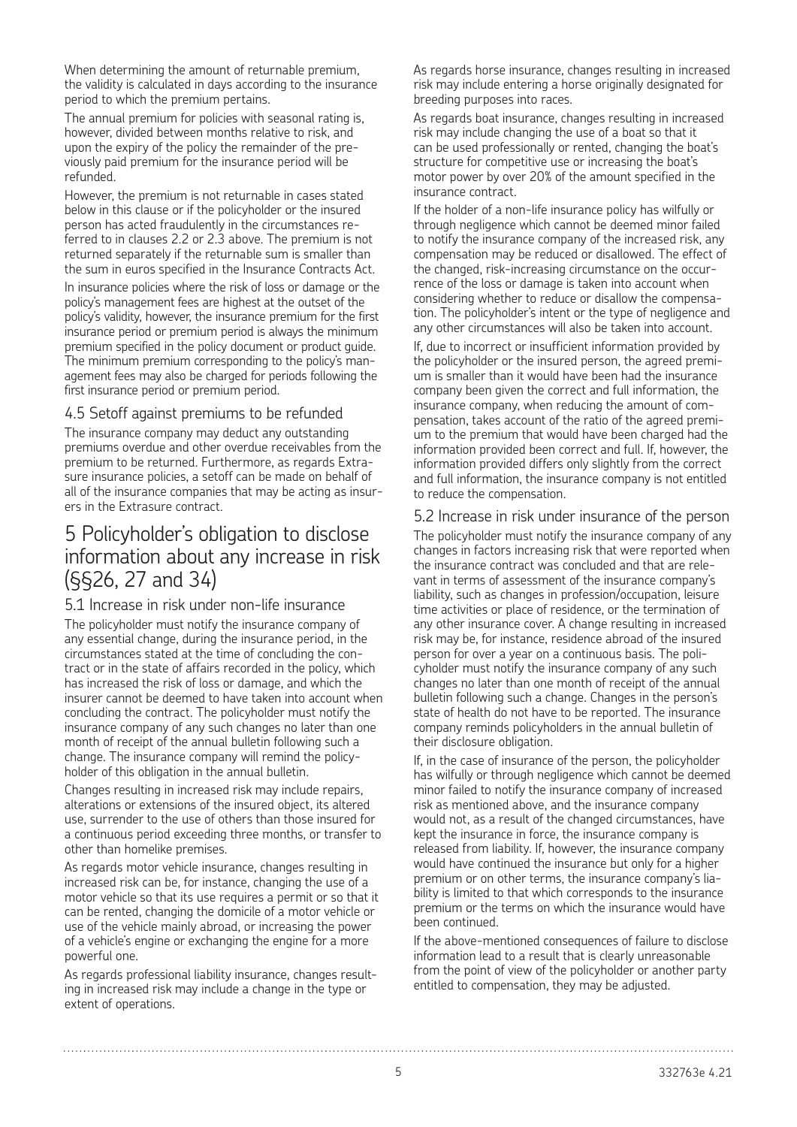When determining the amount of returnable premium, the validity is calculated in days according to the insurance period to which the premium pertains.

The annual premium for policies with seasonal rating is, however, divided between months relative to risk, and upon the expiry of the policy the remainder of the previously paid premium for the insurance period will be refunded.

However, the premium is not returnable in cases stated below in this clause or if the policyholder or the insured person has acted fraudulently in the circumstances referred to in clauses 2.2 or 2.3 above. The premium is not returned separately if the returnable sum is smaller than the sum in euros specified in the Insurance Contracts Act.

In insurance policies where the risk of loss or damage or the policy's management fees are highest at the outset of the policy's validity, however, the insurance premium for the first insurance period or premium period is always the minimum premium specified in the policy document or product guide. The minimum premium corresponding to the policy's management fees may also be charged for periods following the first insurance period or premium period.

#### 4.5 Setoff against premiums to be refunded

The insurance company may deduct any outstanding premiums overdue and other overdue receivables from the premium to be returned. Furthermore, as regards Extrasure insurance policies, a setoff can be made on behalf of all of the insurance companies that may be acting as insurers in the Extrasure contract.

# 5 Policyholder's obligation to disclose information about any increase in risk (§§26, 27 and 34)

#### 5.1 Increase in risk under non-life insurance

The policyholder must notify the insurance company of any essential change, during the insurance period, in the circumstances stated at the time of concluding the contract or in the state of affairs recorded in the policy, which has increased the risk of loss or damage, and which the insurer cannot be deemed to have taken into account when concluding the contract. The policyholder must notify the insurance company of any such changes no later than one month of receipt of the annual bulletin following such a change. The insurance company will remind the policyholder of this obligation in the annual bulletin.

Changes resulting in increased risk may include repairs, alterations or extensions of the insured object, its altered use, surrender to the use of others than those insured for a continuous period exceeding three months, or transfer to other than homelike premises.

As regards motor vehicle insurance, changes resulting in increased risk can be, for instance, changing the use of a motor vehicle so that its use requires a permit or so that it can be rented, changing the domicile of a motor vehicle or use of the vehicle mainly abroad, or increasing the power of a vehicle's engine or exchanging the engine for a more powerful one.

As regards professional liability insurance, changes resulting in increased risk may include a change in the type or extent of operations.

As regards horse insurance, changes resulting in increased risk may include entering a horse originally designated for breeding purposes into races.

As regards boat insurance, changes resulting in increased risk may include changing the use of a boat so that it can be used professionally or rented, changing the boat's structure for competitive use or increasing the boat's motor power by over 20% of the amount specified in the insurance contract.

If the holder of a non-life insurance policy has wilfully or through negligence which cannot be deemed minor failed to notify the insurance company of the increased risk, any compensation may be reduced or disallowed. The effect of the changed, risk-increasing circumstance on the occurrence of the loss or damage is taken into account when considering whether to reduce or disallow the compensation. The policyholder's intent or the type of negligence and any other circumstances will also be taken into account.

If, due to incorrect or insufficient information provided by the policyholder or the insured person, the agreed premium is smaller than it would have been had the insurance company been given the correct and full information, the insurance company, when reducing the amount of compensation, takes account of the ratio of the agreed premium to the premium that would have been charged had the information provided been correct and full. If, however, the information provided differs only slightly from the correct and full information, the insurance company is not entitled to reduce the compensation.

### 5.2 Increase in risk under insurance of the person

The policyholder must notify the insurance company of any changes in factors increasing risk that were reported when the insurance contract was concluded and that are relevant in terms of assessment of the insurance company's liability, such as changes in profession/occupation, leisure time activities or place of residence, or the termination of any other insurance cover. A change resulting in increased risk may be, for instance, residence abroad of the insured person for over a year on a continuous basis. The policyholder must notify the insurance company of any such changes no later than one month of receipt of the annual bulletin following such a change. Changes in the person's state of health do not have to be reported. The insurance company reminds policyholders in the annual bulletin of their disclosure obligation.

If, in the case of insurance of the person, the policyholder has wilfully or through negligence which cannot be deemed minor failed to notify the insurance company of increased risk as mentioned above, and the insurance company would not, as a result of the changed circumstances, have kept the insurance in force, the insurance company is released from liability. If, however, the insurance company would have continued the insurance but only for a higher premium or on other terms, the insurance company's liability is limited to that which corresponds to the insurance premium or the terms on which the insurance would have been continued.

If the above-mentioned consequences of failure to disclose information lead to a result that is clearly unreasonable from the point of view of the policyholder or another party entitled to compensation, they may be adjusted.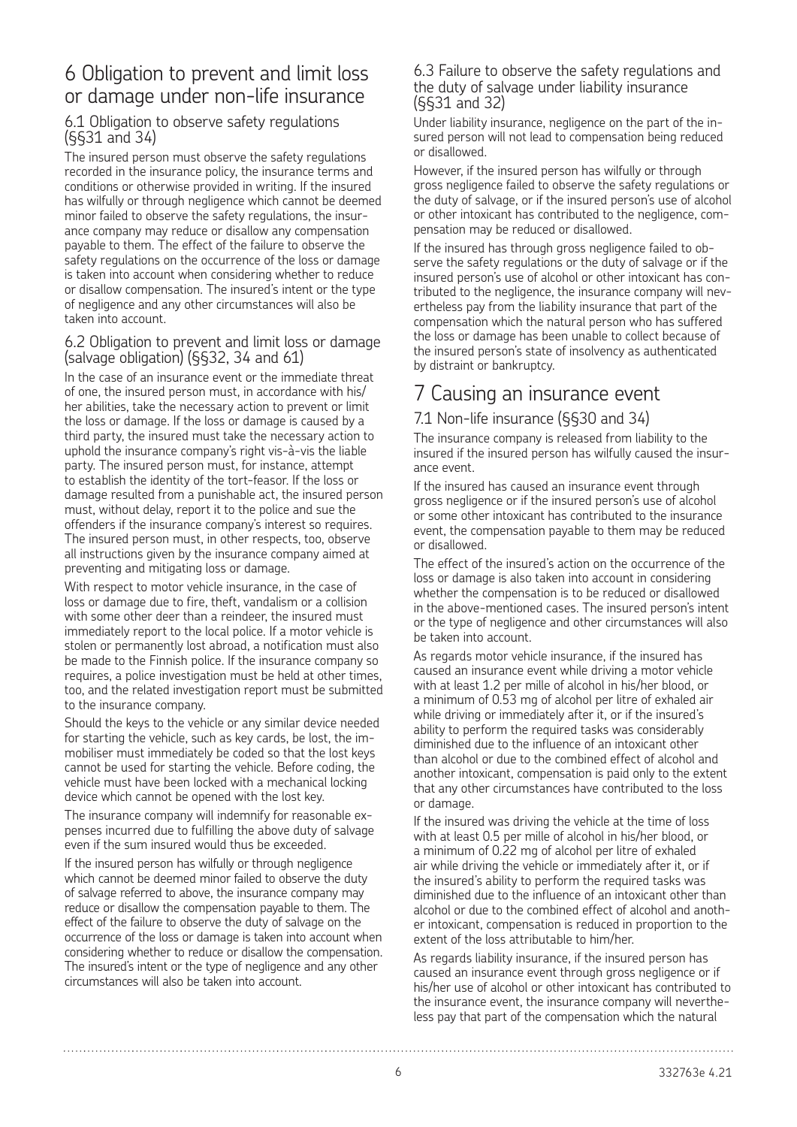### 6 Obligation to prevent and limit loss or damage under non-life insurance

### 6.1 Obligation to observe safety regulations (§§31 and 34)

The insured person must observe the safety regulations recorded in the insurance policy, the insurance terms and conditions or otherwise provided in writing. If the insured has wilfully or through negligence which cannot be deemed minor failed to observe the safety regulations, the insurance company may reduce or disallow any compensation payable to them. The effect of the failure to observe the safety regulations on the occurrence of the loss or damage is taken into account when considering whether to reduce or disallow compensation. The insured's intent or the type of negligence and any other circumstances will also be taken into account.

#### 6.2 Obligation to prevent and limit loss or damage (salvage obligation) (§§32, 34 and 61)

In the case of an insurance event or the immediate threat of one, the insured person must, in accordance with his/ her abilities, take the necessary action to prevent or limit the loss or damage. If the loss or damage is caused by a third party, the insured must take the necessary action to uphold the insurance company's right vis-à-vis the liable party. The insured person must, for instance, attempt to establish the identity of the tort-feasor. If the loss or damage resulted from a punishable act, the insured person must, without delay, report it to the police and sue the offenders if the insurance company's interest so requires. The insured person must, in other respects, too, observe all instructions given by the insurance company aimed at preventing and mitigating loss or damage.

With respect to motor vehicle insurance, in the case of loss or damage due to fire, theft, vandalism or a collision with some other deer than a reindeer, the insured must immediately report to the local police. If a motor vehicle is stolen or permanently lost abroad, a notification must also be made to the Finnish police. If the insurance company so requires, a police investigation must be held at other times, too, and the related investigation report must be submitted to the insurance company.

Should the keys to the vehicle or any similar device needed for starting the vehicle, such as key cards, be lost, the immobiliser must immediately be coded so that the lost keys cannot be used for starting the vehicle. Before coding, the vehicle must have been locked with a mechanical locking device which cannot be opened with the lost key.

The insurance company will indemnify for reasonable expenses incurred due to fulfilling the above duty of salvage even if the sum insured would thus be exceeded.

If the insured person has wilfully or through negligence which cannot be deemed minor failed to observe the duty of salvage referred to above, the insurance company may reduce or disallow the compensation payable to them. The effect of the failure to observe the duty of salvage on the occurrence of the loss or damage is taken into account when considering whether to reduce or disallow the compensation. The insured's intent or the type of negligence and any other circumstances will also be taken into account.

#### 6.3 Failure to observe the safety regulations and the duty of salvage under liability insurance (§§31 and 32)

Under liability insurance, negligence on the part of the insured person will not lead to compensation being reduced or disallowed.

However, if the insured person has wilfully or through gross negligence failed to observe the safety regulations or the duty of salvage, or if the insured person's use of alcohol or other intoxicant has contributed to the negligence, compensation may be reduced or disallowed.

If the insured has through gross negligence failed to observe the safety regulations or the duty of salvage or if the insured person's use of alcohol or other intoxicant has contributed to the negligence, the insurance company will nevertheless pay from the liability insurance that part of the compensation which the natural person who has suffered the loss or damage has been unable to collect because of the insured person's state of insolvency as authenticated by distraint or bankruptcy.

# 7 Causing an insurance event

#### 7.1 Non-life insurance (§§30 and 34)

The insurance company is released from liability to the insured if the insured person has wilfully caused the insurance event.

If the insured has caused an insurance event through gross negligence or if the insured person's use of alcohol or some other intoxicant has contributed to the insurance event, the compensation payable to them may be reduced or disallowed.

The effect of the insured's action on the occurrence of the loss or damage is also taken into account in considering whether the compensation is to be reduced or disallowed in the above-mentioned cases. The insured person's intent or the type of negligence and other circumstances will also be taken into account.

As regards motor vehicle insurance, if the insured has caused an insurance event while driving a motor vehicle with at least 1.2 per mille of alcohol in his/her blood, or a minimum of 0.53 mg of alcohol per litre of exhaled air while driving or immediately after it, or if the insured's ability to perform the required tasks was considerably diminished due to the influence of an intoxicant other than alcohol or due to the combined effect of alcohol and another intoxicant, compensation is paid only to the extent that any other circumstances have contributed to the loss or damage.

If the insured was driving the vehicle at the time of loss with at least 0.5 per mille of alcohol in his/her blood, or a minimum of 0.22 mg of alcohol per litre of exhaled air while driving the vehicle or immediately after it, or if the insured's ability to perform the required tasks was diminished due to the influence of an intoxicant other than alcohol or due to the combined effect of alcohol and another intoxicant, compensation is reduced in proportion to the extent of the loss attributable to him/her.

As regards liability insurance, if the insured person has caused an insurance event through gross negligence or if his/her use of alcohol or other intoxicant has contributed to the insurance event, the insurance company will nevertheless pay that part of the compensation which the natural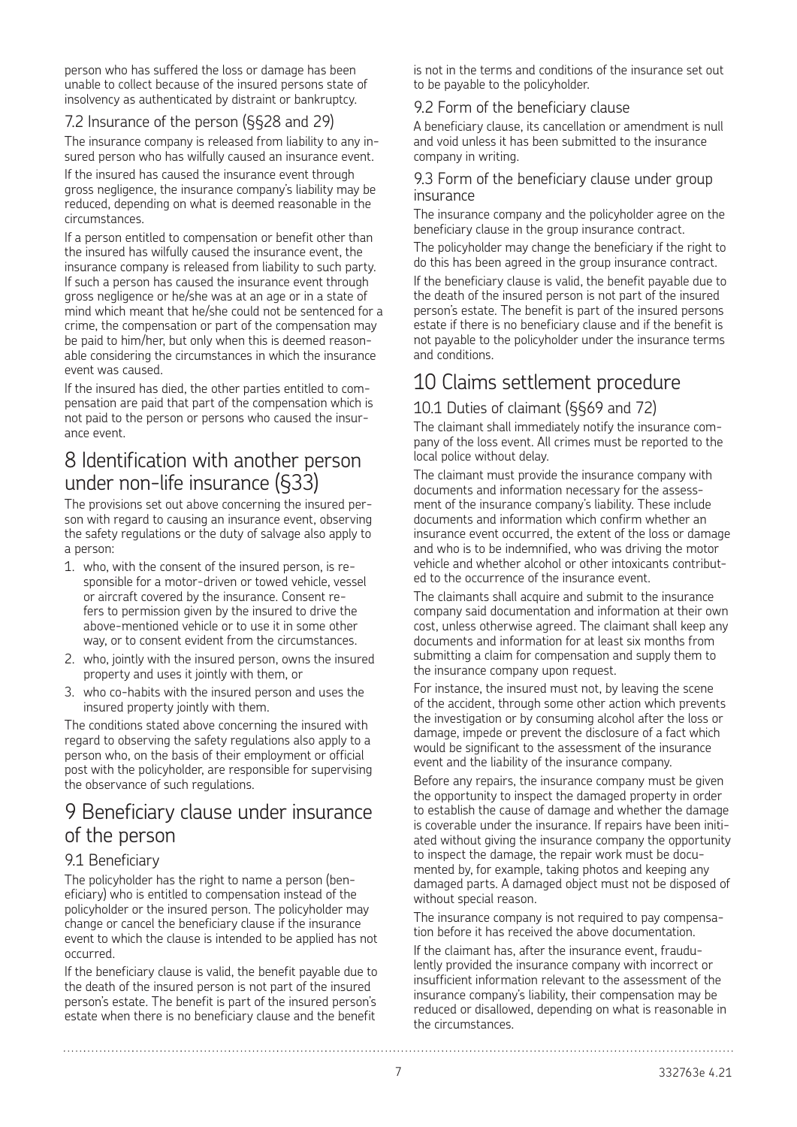person who has suffered the loss or damage has been unable to collect because of the insured persons state of insolvency as authenticated by distraint or bankruptcy.

### 7.2 Insurance of the person (§§28 and 29)

The insurance company is released from liability to any insured person who has wilfully caused an insurance event.

If the insured has caused the insurance event through gross negligence, the insurance company's liability may be reduced, depending on what is deemed reasonable in the circumstances.

If a person entitled to compensation or benefit other than the insured has wilfully caused the insurance event, the insurance company is released from liability to such party. If such a person has caused the insurance event through gross negligence or he/she was at an age or in a state of mind which meant that he/she could not be sentenced for a crime, the compensation or part of the compensation may be paid to him/her, but only when this is deemed reasonable considering the circumstances in which the insurance event was caused.

If the insured has died, the other parties entitled to compensation are paid that part of the compensation which is not paid to the person or persons who caused the insurance event.

### 8 Identification with another person under non-life insurance (§33)

The provisions set out above concerning the insured person with regard to causing an insurance event, observing the safety regulations or the duty of salvage also apply to a person:

- 1. who, with the consent of the insured person, is responsible for a motor-driven or towed vehicle, vessel or aircraft covered by the insurance. Consent refers to permission given by the insured to drive the above-mentioned vehicle or to use it in some other way, or to consent evident from the circumstances.
- 2. who, jointly with the insured person, owns the insured property and uses it jointly with them, or
- 3. who co-habits with the insured person and uses the insured property jointly with them.

The conditions stated above concerning the insured with regard to observing the safety regulations also apply to a person who, on the basis of their employment or official post with the policyholder, are responsible for supervising the observance of such regulations.

### 9 Beneficiary clause under insurance of the person

#### 9.1 Beneficiary

The policyholder has the right to name a person (beneficiary) who is entitled to compensation instead of the policyholder or the insured person. The policyholder may change or cancel the beneficiary clause if the insurance event to which the clause is intended to be applied has not occurred.

If the beneficiary clause is valid, the benefit payable due to the death of the insured person is not part of the insured person's estate. The benefit is part of the insured person's estate when there is no beneficiary clause and the benefit

is not in the terms and conditions of the insurance set out to be payable to the policyholder.

#### 9.2 Form of the beneficiary clause

A beneficiary clause, its cancellation or amendment is null and void unless it has been submitted to the insurance company in writing.

#### 9.3 Form of the beneficiary clause under group insurance

The insurance company and the policyholder agree on the beneficiary clause in the group insurance contract.

The policyholder may change the beneficiary if the right to do this has been agreed in the group insurance contract.

If the beneficiary clause is valid, the benefit payable due to the death of the insured person is not part of the insured person's estate. The benefit is part of the insured persons estate if there is no beneficiary clause and if the benefit is not payable to the policyholder under the insurance terms and conditions.

# 10 Claims settlement procedure

### 10.1 Duties of claimant (§§69 and 72)

The claimant shall immediately notify the insurance company of the loss event. All crimes must be reported to the local police without delay.

The claimant must provide the insurance company with documents and information necessary for the assessment of the insurance company's liability. These include documents and information which confirm whether an insurance event occurred, the extent of the loss or damage and who is to be indemnified, who was driving the motor vehicle and whether alcohol or other intoxicants contributed to the occurrence of the insurance event.

The claimants shall acquire and submit to the insurance company said documentation and information at their own cost, unless otherwise agreed. The claimant shall keep any documents and information for at least six months from submitting a claim for compensation and supply them to the insurance company upon request.

For instance, the insured must not, by leaving the scene of the accident, through some other action which prevents the investigation or by consuming alcohol after the loss or damage, impede or prevent the disclosure of a fact which would be significant to the assessment of the insurance event and the liability of the insurance company.

Before any repairs, the insurance company must be given the opportunity to inspect the damaged property in order to establish the cause of damage and whether the damage is coverable under the insurance. If repairs have been initiated without giving the insurance company the opportunity to inspect the damage, the repair work must be documented by, for example, taking photos and keeping any damaged parts. A damaged object must not be disposed of without special reason.

The insurance company is not required to pay compensation before it has received the above documentation.

If the claimant has, after the insurance event, fraudulently provided the insurance company with incorrect or insufficient information relevant to the assessment of the insurance company's liability, their compensation may be reduced or disallowed, depending on what is reasonable in the circumstances.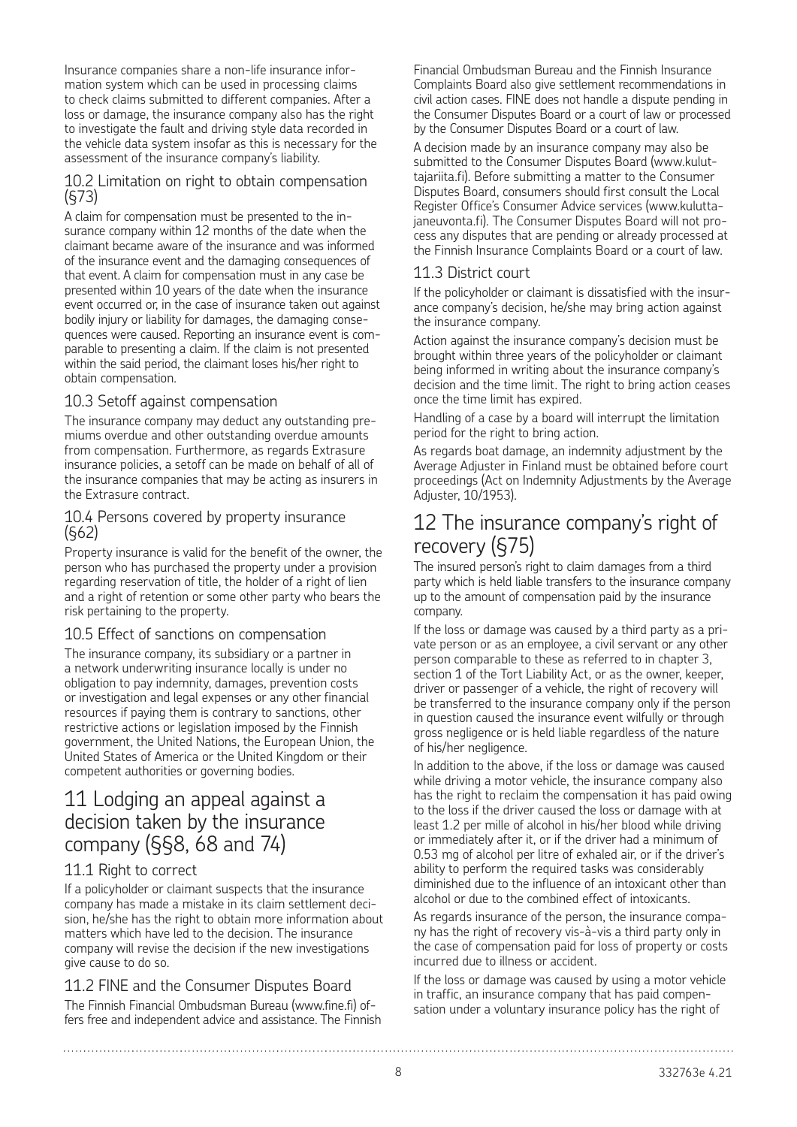Insurance companies share a non-life insurance information system which can be used in processing claims to check claims submitted to different companies. After a loss or damage, the insurance company also has the right to investigate the fault and driving style data recorded in the vehicle data system insofar as this is necessary for the assessment of the insurance company's liability.

#### 10.2 Limitation on right to obtain compensation (§73)

A claim for compensation must be presented to the insurance company within 12 months of the date when the claimant became aware of the insurance and was informed of the insurance event and the damaging consequences of that event. A claim for compensation must in any case be presented within 10 years of the date when the insurance event occurred or, in the case of insurance taken out against bodily injury or liability for damages, the damaging consequences were caused. Reporting an insurance event is comparable to presenting a claim. If the claim is not presented within the said period, the claimant loses his/her right to obtain compensation.

### 10.3 Setoff against compensation

The insurance company may deduct any outstanding premiums overdue and other outstanding overdue amounts from compensation. Furthermore, as regards Extrasure insurance policies, a setoff can be made on behalf of all of the insurance companies that may be acting as insurers in the Extrasure contract.

#### 10.4 Persons covered by property insurance (§62)

Property insurance is valid for the benefit of the owner, the person who has purchased the property under a provision regarding reservation of title, the holder of a right of lien and a right of retention or some other party who bears the risk pertaining to the property.

### 10.5 Effect of sanctions on compensation

The insurance company, its subsidiary or a partner in a network underwriting insurance locally is under no obligation to pay indemnity, damages, prevention costs or investigation and legal expenses or any other financial resources if paying them is contrary to sanctions, other restrictive actions or legislation imposed by the Finnish government, the United Nations, the European Union, the United States of America or the United Kingdom or their competent authorities or governing bodies.

# 11 Lodging an appeal against a decision taken by the insurance company (§§8, 68 and 74)

### 11.1 Right to correct

If a policyholder or claimant suspects that the insurance company has made a mistake in its claim settlement decision, he/she has the right to obtain more information about matters which have led to the decision. The insurance company will revise the decision if the new investigations give cause to do so.

### 11.2 FINE and the Consumer Disputes Board

The Finnish Financial Ombudsman Bureau (www.fine.fi) offers free and independent advice and assistance. The Finnish

Financial Ombudsman Bureau and the Finnish Insurance Complaints Board also give settlement recommendations in civil action cases. FINE does not handle a dispute pending in the Consumer Disputes Board or a court of law or processed by the Consumer Disputes Board or a court of law.

A decision made by an insurance company may also be submitted to the Consumer Disputes Board (www.kuluttajariita.fi). Before submitting a matter to the Consumer Disputes Board, consumers should first consult the Local Register Office's Consumer Advice services (www.kuluttajaneuvonta.fi). The Consumer Disputes Board will not process any disputes that are pending or already processed at the Finnish Insurance Complaints Board or a court of law.

### 11.3 District court

If the policyholder or claimant is dissatisfied with the insurance company's decision, he/she may bring action against the insurance company.

Action against the insurance company's decision must be brought within three years of the policyholder or claimant being informed in writing about the insurance company's decision and the time limit. The right to bring action ceases once the time limit has expired.

Handling of a case by a board will interrupt the limitation period for the right to bring action.

As regards boat damage, an indemnity adjustment by the Average Adjuster in Finland must be obtained before court proceedings (Act on Indemnity Adjustments by the Average Adjuster, 10/1953).

# 12 The insurance company's right of recovery (§75)

The insured person's right to claim damages from a third party which is held liable transfers to the insurance company up to the amount of compensation paid by the insurance company.

If the loss or damage was caused by a third party as a private person or as an employee, a civil servant or any other person comparable to these as referred to in chapter 3, section 1 of the Tort Liability Act, or as the owner, keeper, driver or passenger of a vehicle, the right of recovery will be transferred to the insurance company only if the person in question caused the insurance event wilfully or through gross negligence or is held liable regardless of the nature of his/her negligence.

In addition to the above, if the loss or damage was caused while driving a motor vehicle, the insurance company also has the right to reclaim the compensation it has paid owing to the loss if the driver caused the loss or damage with at least 1.2 per mille of alcohol in his/her blood while driving or immediately after it, or if the driver had a minimum of 0.53 mg of alcohol per litre of exhaled air, or if the driver's ability to perform the required tasks was considerably diminished due to the influence of an intoxicant other than alcohol or due to the combined effect of intoxicants.

As regards insurance of the person, the insurance company has the right of recovery vis-à-vis a third party only in the case of compensation paid for loss of property or costs incurred due to illness or accident.

If the loss or damage was caused by using a motor vehicle in traffic, an insurance company that has paid compensation under a voluntary insurance policy has the right of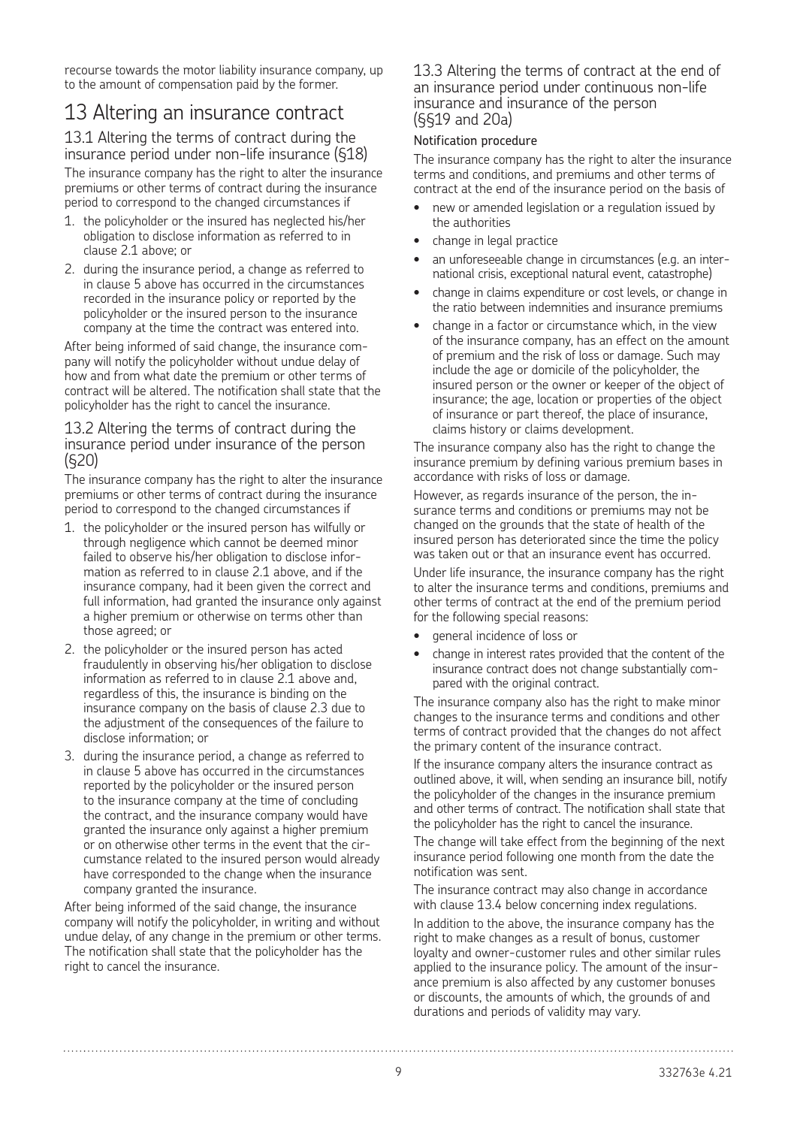recourse towards the motor liability insurance company, up to the amount of compensation paid by the former.

# 13 Altering an insurance contract

13.1 Altering the terms of contract during the insurance period under non-life insurance (§18) The insurance company has the right to alter the insurance premiums or other terms of contract during the insurance period to correspond to the changed circumstances if

- 1. the policyholder or the insured has neglected his/her obligation to disclose information as referred to in clause 2.1 above; or
- 2. during the insurance period, a change as referred to in clause 5 above has occurred in the circumstances recorded in the insurance policy or reported by the policyholder or the insured person to the insurance company at the time the contract was entered into.

After being informed of said change, the insurance company will notify the policyholder without undue delay of how and from what date the premium or other terms of contract will be altered. The notification shall state that the policyholder has the right to cancel the insurance.

#### 13.2 Altering the terms of contract during the insurance period under insurance of the person (§20)

The insurance company has the right to alter the insurance premiums or other terms of contract during the insurance period to correspond to the changed circumstances if

- 1. the policyholder or the insured person has wilfully or through negligence which cannot be deemed minor failed to observe his/her obligation to disclose information as referred to in clause 2.1 above, and if the insurance company, had it been given the correct and full information, had granted the insurance only against a higher premium or otherwise on terms other than those agreed; or
- 2. the policyholder or the insured person has acted fraudulently in observing his/her obligation to disclose information as referred to in clause 2.1 above and, regardless of this, the insurance is binding on the insurance company on the basis of clause 2.3 due to the adjustment of the consequences of the failure to disclose information; or
- 3. during the insurance period, a change as referred to in clause 5 above has occurred in the circumstances reported by the policyholder or the insured person to the insurance company at the time of concluding the contract, and the insurance company would have granted the insurance only against a higher premium or on otherwise other terms in the event that the circumstance related to the insured person would already have corresponded to the change when the insurance company granted the insurance.

After being informed of the said change, the insurance company will notify the policyholder, in writing and without undue delay, of any change in the premium or other terms. The notification shall state that the policyholder has the right to cancel the insurance.

#### 13.3 Altering the terms of contract at the end of an insurance period under continuous non-life insurance and insurance of the person (§§19 and 20a)

#### Notification procedure

The insurance company has the right to alter the insurance terms and conditions, and premiums and other terms of contract at the end of the insurance period on the basis of

- new or amended legislation or a regulation issued by the authorities
- change in legal practice
- an unforeseeable change in circumstances (e.g. an international crisis, exceptional natural event, catastrophe)
- change in claims expenditure or cost levels, or change in the ratio between indemnities and insurance premiums
- change in a factor or circumstance which, in the view of the insurance company, has an effect on the amount of premium and the risk of loss or damage. Such may include the age or domicile of the policyholder, the insured person or the owner or keeper of the object of insurance; the age, location or properties of the object of insurance or part thereof, the place of insurance, claims history or claims development.

The insurance company also has the right to change the insurance premium by defining various premium bases in accordance with risks of loss or damage.

However, as regards insurance of the person, the insurance terms and conditions or premiums may not be changed on the grounds that the state of health of the insured person has deteriorated since the time the policy was taken out or that an insurance event has occurred.

Under life insurance, the insurance company has the right to alter the insurance terms and conditions, premiums and other terms of contract at the end of the premium period for the following special reasons:

- general incidence of loss or
- change in interest rates provided that the content of the insurance contract does not change substantially compared with the original contract.

The insurance company also has the right to make minor changes to the insurance terms and conditions and other terms of contract provided that the changes do not affect the primary content of the insurance contract.

If the insurance company alters the insurance contract as outlined above, it will, when sending an insurance bill, notify the policyholder of the changes in the insurance premium and other terms of contract. The notification shall state that the policyholder has the right to cancel the insurance.

The change will take effect from the beginning of the next insurance period following one month from the date the notification was sent.

The insurance contract may also change in accordance with clause 13.4 below concerning index regulations.

In addition to the above, the insurance company has the right to make changes as a result of bonus, customer loyalty and owner-customer rules and other similar rules applied to the insurance policy. The amount of the insurance premium is also affected by any customer bonuses or discounts, the amounts of which, the grounds of and durations and periods of validity may vary.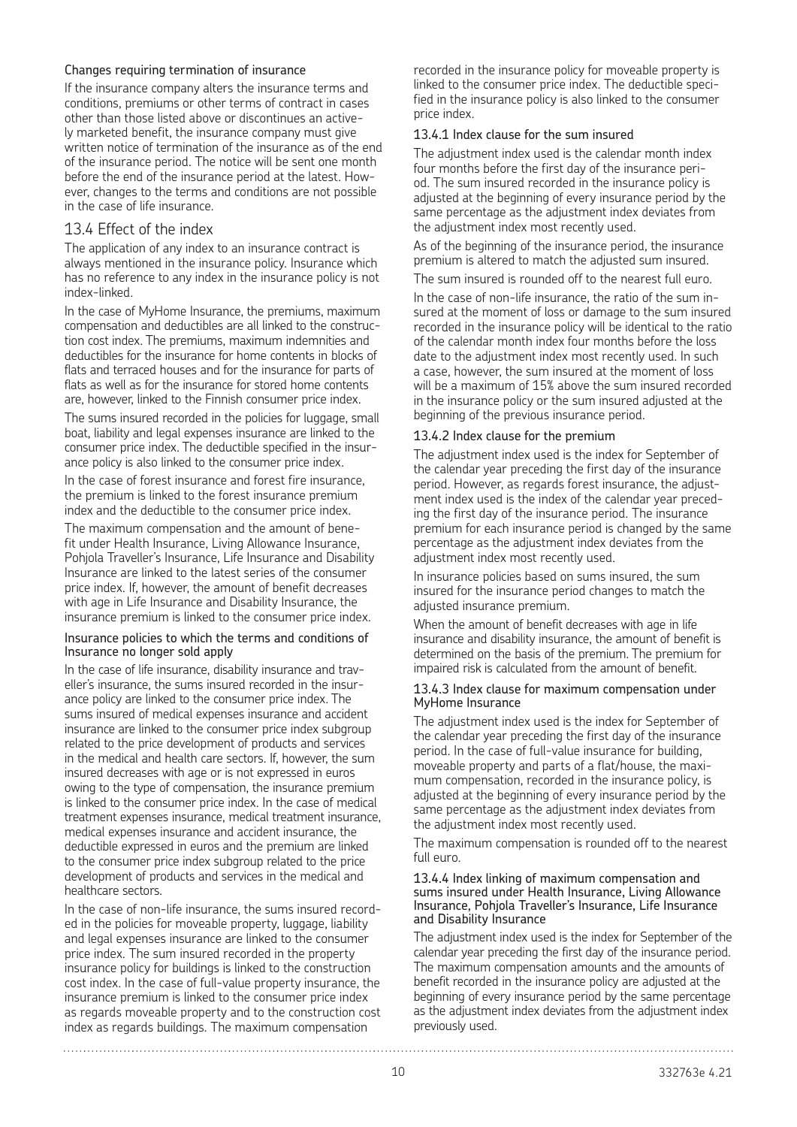#### Changes requiring termination of insurance

If the insurance company alters the insurance terms and conditions, premiums or other terms of contract in cases other than those listed above or discontinues an actively marketed benefit, the insurance company must give written notice of termination of the insurance as of the end of the insurance period. The notice will be sent one month before the end of the insurance period at the latest. However, changes to the terms and conditions are not possible in the case of life insurance.

#### 13.4 Effect of the index

The application of any index to an insurance contract is always mentioned in the insurance policy. Insurance which has no reference to any index in the insurance policy is not index-linked.

In the case of MyHome Insurance, the premiums, maximum compensation and deductibles are all linked to the construction cost index. The premiums, maximum indemnities and deductibles for the insurance for home contents in blocks of flats and terraced houses and for the insurance for parts of flats as well as for the insurance for stored home contents are, however, linked to the Finnish consumer price index.

The sums insured recorded in the policies for luggage, small boat, liability and legal expenses insurance are linked to the consumer price index. The deductible specified in the insurance policy is also linked to the consumer price index.

In the case of forest insurance and forest fire insurance, the premium is linked to the forest insurance premium index and the deductible to the consumer price index.

The maximum compensation and the amount of benefit under Health Insurance, Living Allowance Insurance, Pohjola Traveller's Insurance, Life Insurance and Disability Insurance are linked to the latest series of the consumer price index. If, however, the amount of benefit decreases with age in Life Insurance and Disability Insurance, the insurance premium is linked to the consumer price index.

#### Insurance policies to which the terms and conditions of Insurance no longer sold apply

In the case of life insurance, disability insurance and traveller's insurance, the sums insured recorded in the insurance policy are linked to the consumer price index. The sums insured of medical expenses insurance and accident insurance are linked to the consumer price index subgroup related to the price development of products and services in the medical and health care sectors. If, however, the sum insured decreases with age or is not expressed in euros owing to the type of compensation, the insurance premium is linked to the consumer price index. In the case of medical treatment expenses insurance, medical treatment insurance, medical expenses insurance and accident insurance, the deductible expressed in euros and the premium are linked to the consumer price index subgroup related to the price development of products and services in the medical and healthcare sectors.

In the case of non-life insurance, the sums insured recorded in the policies for moveable property, luggage, liability and legal expenses insurance are linked to the consumer price index. The sum insured recorded in the property insurance policy for buildings is linked to the construction cost index. In the case of full-value property insurance, the insurance premium is linked to the consumer price index as regards moveable property and to the construction cost index as regards buildings. The maximum compensation

recorded in the insurance policy for moveable property is linked to the consumer price index. The deductible specified in the insurance policy is also linked to the consumer price index.

#### 13.4.1 Index clause for the sum insured

The adjustment index used is the calendar month index four months before the first day of the insurance period. The sum insured recorded in the insurance policy is adjusted at the beginning of every insurance period by the same percentage as the adjustment index deviates from the adjustment index most recently used.

As of the beginning of the insurance period, the insurance premium is altered to match the adjusted sum insured.

The sum insured is rounded off to the nearest full euro.

In the case of non-life insurance, the ratio of the sum insured at the moment of loss or damage to the sum insured recorded in the insurance policy will be identical to the ratio of the calendar month index four months before the loss date to the adjustment index most recently used. In such a case, however, the sum insured at the moment of loss will be a maximum of 15% above the sum insured recorded in the insurance policy or the sum insured adjusted at the beginning of the previous insurance period.

#### 13.4.2 Index clause for the premium

The adjustment index used is the index for September of the calendar year preceding the first day of the insurance period. However, as regards forest insurance, the adjustment index used is the index of the calendar year preceding the first day of the insurance period. The insurance premium for each insurance period is changed by the same percentage as the adjustment index deviates from the adjustment index most recently used.

In insurance policies based on sums insured, the sum insured for the insurance period changes to match the adjusted insurance premium.

When the amount of benefit decreases with age in life insurance and disability insurance, the amount of benefit is determined on the basis of the premium. The premium for impaired risk is calculated from the amount of benefit.

#### 13.4.3 Index clause for maximum compensation under MyHome Insurance

The adjustment index used is the index for September of the calendar year preceding the first day of the insurance period. In the case of full-value insurance for building, moveable property and parts of a flat/house, the maximum compensation, recorded in the insurance policy, is adjusted at the beginning of every insurance period by the same percentage as the adjustment index deviates from the adjustment index most recently used.

The maximum compensation is rounded off to the nearest full euro.

#### 13.4.4 Index linking of maximum compensation and sums insured under Health Insurance, Living Allowance Insurance, Pohjola Traveller's Insurance, Life Insurance and Disability Insurance

The adjustment index used is the index for September of the calendar year preceding the first day of the insurance period. The maximum compensation amounts and the amounts of benefit recorded in the insurance policy are adjusted at the beginning of every insurance period by the same percentage as the adjustment index deviates from the adjustment index previously used.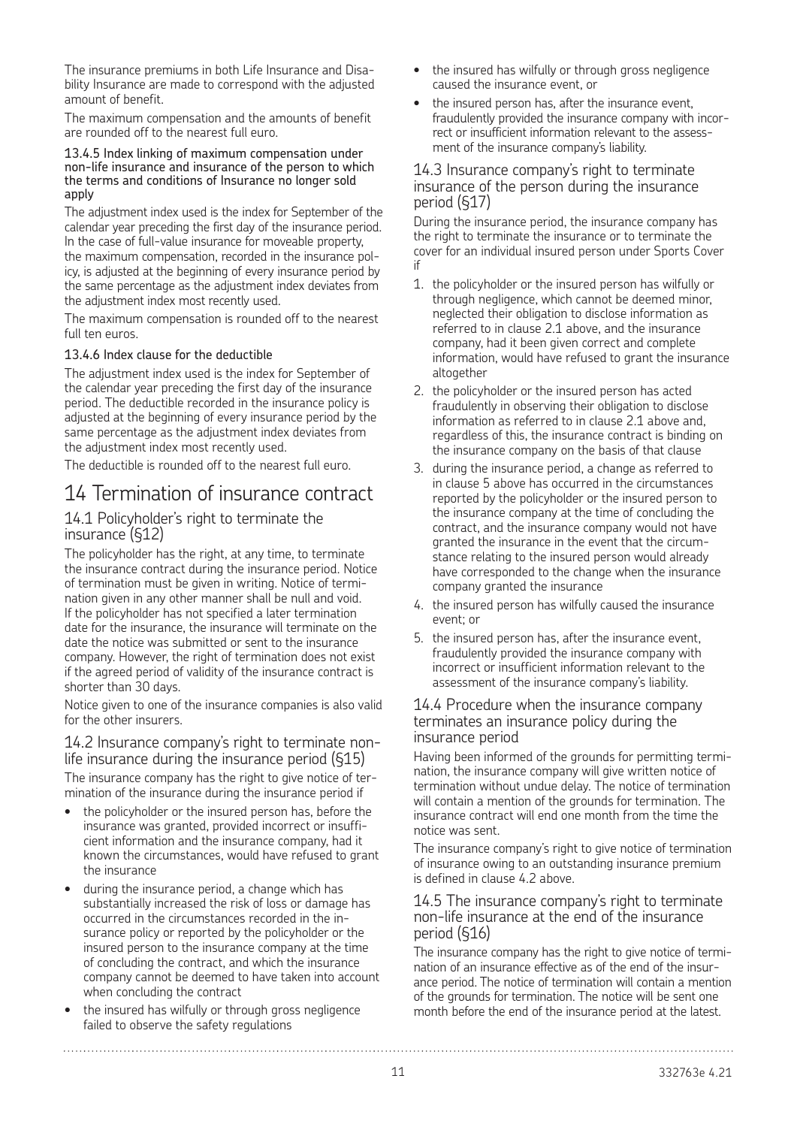The insurance premiums in both Life Insurance and Disability Insurance are made to correspond with the adjusted amount of benefit.

The maximum compensation and the amounts of benefit are rounded off to the nearest full euro.

#### 13.4.5 Index linking of maximum compensation under non-life insurance and insurance of the person to which the terms and conditions of Insurance no longer sold apply

The adjustment index used is the index for September of the calendar year preceding the first day of the insurance period. In the case of full-value insurance for moveable property, the maximum compensation, recorded in the insurance policy, is adjusted at the beginning of every insurance period by the same percentage as the adjustment index deviates from the adjustment index most recently used.

The maximum compensation is rounded off to the nearest full ten euros.

#### 13.4.6 Index clause for the deductible

The adjustment index used is the index for September of the calendar year preceding the first day of the insurance period. The deductible recorded in the insurance policy is adjusted at the beginning of every insurance period by the same percentage as the adjustment index deviates from the adjustment index most recently used.

The deductible is rounded off to the nearest full euro.

### 14 Termination of insurance contract

#### 14.1 Policyholder's right to terminate the insurance (§12)

The policyholder has the right, at any time, to terminate the insurance contract during the insurance period. Notice of termination must be given in writing. Notice of termination given in any other manner shall be null and void. If the policyholder has not specified a later termination date for the insurance, the insurance will terminate on the date the notice was submitted or sent to the insurance company. However, the right of termination does not exist if the agreed period of validity of the insurance contract is shorter than 30 days.

Notice given to one of the insurance companies is also valid for the other insurers.

#### 14.2 Insurance company's right to terminate nonlife insurance during the insurance period (§15)

The insurance company has the right to give notice of termination of the insurance during the insurance period if

- the policyholder or the insured person has, before the insurance was granted, provided incorrect or insufficient information and the insurance company, had it known the circumstances, would have refused to grant the insurance
- during the insurance period, a change which has substantially increased the risk of loss or damage has occurred in the circumstances recorded in the insurance policy or reported by the policyholder or the insured person to the insurance company at the time of concluding the contract, and which the insurance company cannot be deemed to have taken into account when concluding the contract
- the insured has wilfully or through gross negligence failed to observe the safety regulations

- the insured has wilfully or through gross negligence caused the insurance event, or
- the insured person has, after the insurance event. fraudulently provided the insurance company with incorrect or insufficient information relevant to the assessment of the insurance company's liability.

#### 14.3 Insurance company's right to terminate insurance of the person during the insurance period (§17)

During the insurance period, the insurance company has the right to terminate the insurance or to terminate the cover for an individual insured person under Sports Cover if

- 1. the policyholder or the insured person has wilfully or through negligence, which cannot be deemed minor, neglected their obligation to disclose information as referred to in clause 2.1 above, and the insurance company, had it been given correct and complete information, would have refused to grant the insurance altogether
- 2. the policyholder or the insured person has acted fraudulently in observing their obligation to disclose information as referred to in clause 2.1 above and, regardless of this, the insurance contract is binding on the insurance company on the basis of that clause
- 3. during the insurance period, a change as referred to in clause 5 above has occurred in the circumstances reported by the policyholder or the insured person to the insurance company at the time of concluding the contract, and the insurance company would not have granted the insurance in the event that the circumstance relating to the insured person would already have corresponded to the change when the insurance company granted the insurance
- 4. the insured person has wilfully caused the insurance event; or
- 5. the insured person has, after the insurance event, fraudulently provided the insurance company with incorrect or insufficient information relevant to the assessment of the insurance company's liability.

#### 14.4 Procedure when the insurance company terminates an insurance policy during the insurance period

Having been informed of the grounds for permitting termination, the insurance company will give written notice of termination without undue delay. The notice of termination will contain a mention of the grounds for termination. The insurance contract will end one month from the time the notice was sent.

The insurance company's right to give notice of termination of insurance owing to an outstanding insurance premium is defined in clause 4.2 above.

#### 14.5 The insurance company's right to terminate non-life insurance at the end of the insurance period (§16)

The insurance company has the right to give notice of termination of an insurance effective as of the end of the insurance period. The notice of termination will contain a mention of the grounds for termination. The notice will be sent one month before the end of the insurance period at the latest.